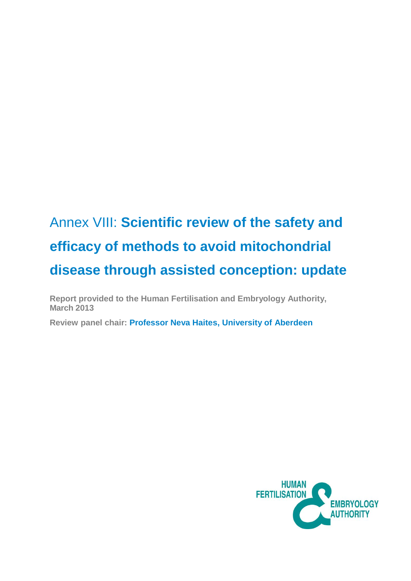# Annex VIII: **Scientific review of the safety and efficacy of methods to avoid mitochondrial disease through assisted conception: update**

**Report provided to the Human Fertilisation and Embryology Authority, March 2013** 

**Review panel chair: Professor Neva Haites, University of Aberdeen** 

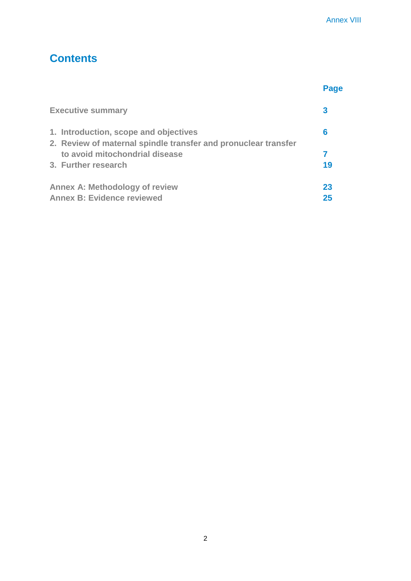# **Contents**

|                                                                                                         | Page |
|---------------------------------------------------------------------------------------------------------|------|
| <b>Executive summary</b>                                                                                | 3    |
| 1. Introduction, scope and objectives<br>2. Review of maternal spindle transfer and pronuclear transfer | 6    |
| to avoid mitochondrial disease                                                                          |      |
| 3. Further research                                                                                     | 19   |
| <b>Annex A: Methodology of review</b>                                                                   | 23   |
| <b>Annex B: Evidence reviewed</b>                                                                       | 25   |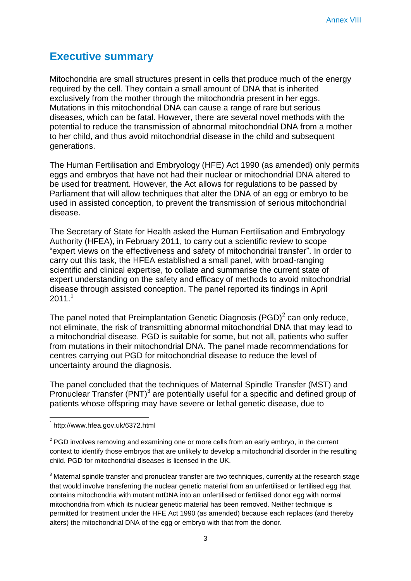# **Executive summary**

Mitochondria are small structures present in cells that produce much of the energy required by the cell. They contain a small amount of DNA that is inherited exclusively from the mother through the mitochondria present in her eggs. Mutations in this mitochondrial DNA can cause a range of rare but serious diseases, which can be fatal. However, there are several novel methods with the potential to reduce the transmission of abnormal mitochondrial DNA from a mother to her child, and thus avoid mitochondrial disease in the child and subsequent generations.

The Human Fertilisation and Embryology (HFE) Act 1990 (as amended) only permits eggs and embryos that have not had their nuclear or mitochondrial DNA altered to be used for treatment. However, the Act allows for regulations to be passed by Parliament that will allow techniques that alter the DNA of an egg or embryo to be used in assisted conception, to prevent the transmission of serious mitochondrial disease.

The Secretary of State for Health asked the Human Fertilisation and Embryology Authority (HFEA), in February 2011, to carry out a scientific review to scope "expert views on the effectiveness and safety of mitochondrial transfer". In order to carry out this task, the HFEA established a small panel, with broad-ranging scientific and clinical expertise, to collate and summarise the current state of expert understanding on the safety and efficacy of methods to avoid mitochondrial disease through assisted conception. The panel reported its findings in April  $2011.<sup>1</sup>$ 

The panel noted that Preimplantation Genetic Diagnosis (PGD)<sup>2</sup> can only reduce, not eliminate, the risk of transmitting abnormal mitochondrial DNA that may lead to a mitochondrial disease. PGD is suitable for some, but not all, patients who suffer from mutations in their mitochondrial DNA. The panel made recommendations for centres carrying out PGD for mitochondrial disease to reduce the level of uncertainty around the diagnosis.

The panel concluded that the techniques of Maternal Spindle Transfer (MST) and Pronuclear Transfer (PNT)<sup>3</sup> are potentially useful for a specific and defined group of patients whose offspring may have severe or lethal genetic disease, due to

<sup>1</sup> http://www.hfea.gov.uk/6372.html

 $2^{2}$  PGD involves removing and examining one or more cells from an early embryo, in the current context to identify those embryos that are unlikely to develop a mitochondrial disorder in the resulting child. PGD for mitochondrial diseases is licensed in the UK.

<sup>&</sup>lt;sup>3</sup> Maternal spindle transfer and pronuclear transfer are two techniques, currently at the research stage that would involve transferring the nuclear genetic material from an unfertilised or fertilised egg that contains mitochondria with mutant mtDNA into an unfertilised or fertilised donor egg with normal mitochondria from which its nuclear genetic material has been removed. Neither technique is permitted for treatment under the HFE Act 1990 (as amended) because each replaces (and thereby alters) the mitochondrial DNA of the egg or embryo with that from the donor.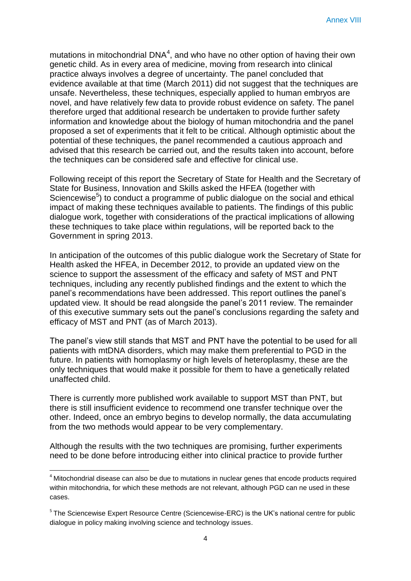mutations in mitochondrial DNA<sup>4</sup>, and who have no other option of having their own genetic child. As in every area of medicine, moving from research into clinical practice always involves a degree of uncertainty. The panel concluded that evidence available at that time (March 2011) did not suggest that the techniques are unsafe. Nevertheless, these techniques, especially applied to human embryos are novel, and have relatively few data to provide robust evidence on safety. The panel therefore urged that additional research be undertaken to provide further safety information and knowledge about the biology of human mitochondria and the panel proposed a set of experiments that it felt to be critical. Although optimistic about the potential of these techniques, the panel recommended a cautious approach and advised that this research be carried out, and the results taken into account, before the techniques can be considered safe and effective for clinical use.

Following receipt of this report the Secretary of State for Health and the Secretary of State for Business, Innovation and Skills asked the HFEA (together with Sciencewise<sup>5</sup>) to conduct a programme of public dialogue on the social and ethical impact of making these techniques available to patients. The findings of this public dialogue work, together with considerations of the practical implications of allowing these techniques to take place within regulations, will be reported back to the Government in spring 2013.

In anticipation of the outcomes of this public dialogue work the Secretary of State for Health asked the HFEA, in December 2012, to provide an updated view on the science to support the assessment of the efficacy and safety of MST and PNT techniques, including any recently published findings and the extent to which the panel's recommendations have been addressed. This report outlines the panel's updated view. It should be read alongside the panel's 2011 review. The remainder of this executive summary sets out the panel's conclusions regarding the safety and efficacy of MST and PNT (as of March 2013).

The panel's view still stands that MST and PNT have the potential to be used for all patients with mtDNA disorders, which may make them preferential to PGD in the future. In patients with homoplasmy or high levels of heteroplasmy, these are the only techniques that would make it possible for them to have a genetically related unaffected child.

There is currently more published work available to support MST than PNT, but there is still insufficient evidence to recommend one transfer technique over the other. Indeed, once an embryo begins to develop normally, the data accumulating from the two methods would appear to be very complementary.

Although the results with the two techniques are promising, further experiments need to be done before introducing either into clinical practice to provide further

 $\overline{a}$ 

<sup>&</sup>lt;sup>4</sup> Mitochondrial disease can also be due to mutations in nuclear genes that encode products required within mitochondria, for which these methods are not relevant, although PGD can ne used in these cases.

<sup>&</sup>lt;sup>5</sup> The Sciencewise Expert Resource Centre (Sciencewise-ERC) is the UK's national centre for public dialogue in policy making involving science and technology issues.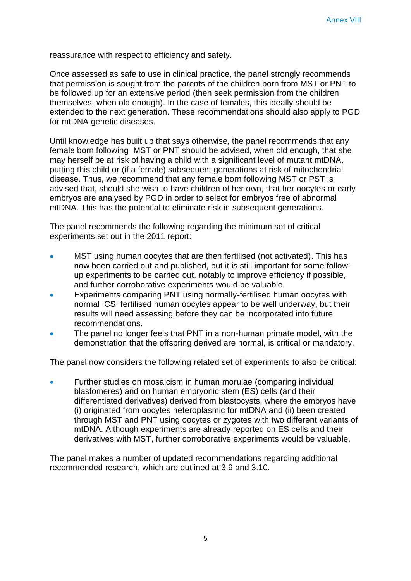reassurance with respect to efficiency and safety.

Once assessed as safe to use in clinical practice, the panel strongly recommends that permission is sought from the parents of the children born from MST or PNT to be followed up for an extensive period (then seek permission from the children themselves, when old enough). In the case of females, this ideally should be extended to the next generation. These recommendations should also apply to PGD for mtDNA genetic diseases.

Until knowledge has built up that says otherwise, the panel recommends that any female born following MST or PNT should be advised, when old enough, that she may herself be at risk of having a child with a significant level of mutant mtDNA, putting this child or (if a female) subsequent generations at risk of mitochondrial disease. Thus, we recommend that any female born following MST or PST is advised that, should she wish to have children of her own, that her oocytes or early embryos are analysed by PGD in order to select for embryos free of abnormal mtDNA. This has the potential to eliminate risk in subsequent generations.

The panel recommends the following regarding the minimum set of critical experiments set out in the 2011 report:

- MST using human oocytes that are then fertilised (not activated). This has now been carried out and published, but it is still important for some followup experiments to be carried out, notably to improve efficiency if possible, and further corroborative experiments would be valuable.
- Experiments comparing PNT using normally-fertilised human oocytes with normal ICSI fertilised human oocytes appear to be well underway, but their results will need assessing before they can be incorporated into future recommendations.
- The panel no longer feels that PNT in a non-human primate model, with the demonstration that the offspring derived are normal, is critical or mandatory.

The panel now considers the following related set of experiments to also be critical:

 Further studies on mosaicism in human morulae (comparing individual blastomeres) and on human embryonic stem (ES) cells (and their differentiated derivatives) derived from blastocysts, where the embryos have (i) originated from oocytes heteroplasmic for mtDNA and (ii) been created through MST and PNT using oocytes or zygotes with two different variants of mtDNA. Although experiments are already reported on ES cells and their derivatives with MST, further corroborative experiments would be valuable.

The panel makes a number of updated recommendations regarding additional recommended research, which are outlined at 3.9 and 3.10.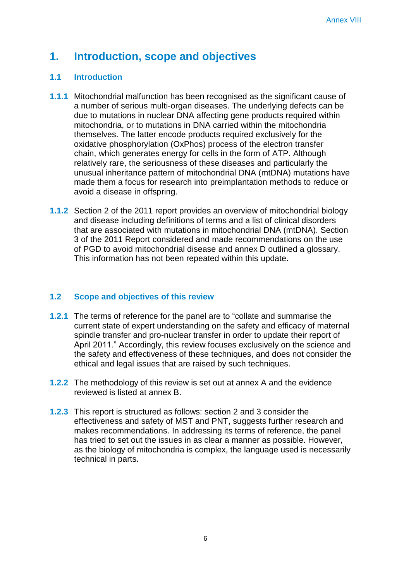# **1. Introduction, scope and objectives**

### **1.1 Introduction**

- **1.1.1** Mitochondrial malfunction has been recognised as the significant cause of a number of serious multi-organ diseases. The underlying defects can be due to mutations in nuclear DNA affecting gene products required within mitochondria, or to mutations in DNA carried within the mitochondria themselves. The latter encode products required exclusively for the oxidative phosphorylation (OxPhos) process of the electron transfer chain, which generates energy for cells in the form of ATP. Although relatively rare, the seriousness of these diseases and particularly the unusual inheritance pattern of mitochondrial DNA (mtDNA) mutations have made them a focus for research into preimplantation methods to reduce or avoid a disease in offspring.
- **1.1.2** Section 2 of the 2011 report provides an overview of mitochondrial biology and disease including definitions of terms and a list of clinical disorders that are associated with mutations in mitochondrial DNA (mtDNA). Section 3 of the 2011 Report considered and made recommendations on the use of PGD to avoid mitochondrial disease and annex D outlined a glossary. This information has not been repeated within this update.

### **1.2 Scope and objectives of this review**

- **1.2.1** The terms of reference for the panel are to "collate and summarise the current state of expert understanding on the safety and efficacy of maternal spindle transfer and pro-nuclear transfer in order to update their report of April 2011." Accordingly, this review focuses exclusively on the science and the safety and effectiveness of these techniques, and does not consider the ethical and legal issues that are raised by such techniques.
- **1.2.2** The methodology of this review is set out at annex A and the evidence reviewed is listed at annex B.
- **1.2.3** This report is structured as follows: section 2 and 3 consider the effectiveness and safety of MST and PNT, suggests further research and makes recommendations. In addressing its terms of reference, the panel has tried to set out the issues in as clear a manner as possible. However, as the biology of mitochondria is complex, the language used is necessarily technical in parts.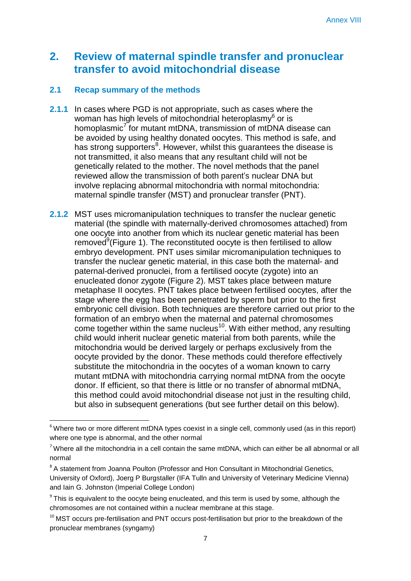# **2. Review of maternal spindle transfer and pronuclear transfer to avoid mitochondrial disease**

## **2.1 Recap summary of the methods**

- **2.1.1** In cases where PGD is not appropriate, such as cases where the woman has high levels of mitochondrial heteroplasmy $^6$  or is homoplasmic<sup>7</sup> for mutant mtDNA, transmission of mtDNA disease can be avoided by using healthy donated oocytes. This method is safe, and has strong supporters<sup>8</sup>. However, whilst this guarantees the disease is not transmitted, it also means that any resultant child will not be genetically related to the mother. The novel methods that the panel reviewed allow the transmission of both parent's nuclear DNA but involve replacing abnormal mitochondria with normal mitochondria: maternal spindle transfer (MST) and pronuclear transfer (PNT).
- **2.1.2** MST uses micromanipulation techniques to transfer the nuclear genetic material (the spindle with maternally-derived chromosomes attached) from one oocyte into another from which its nuclear genetic material has been removed<sup>9</sup>(Figure 1). The reconstituted oocyte is then fertilised to allow embryo development. PNT uses similar micromanipulation techniques to transfer the nuclear genetic material, in this case both the maternal- and paternal-derived pronuclei, from a fertilised oocyte (zygote) into an enucleated donor zygote (Figure 2). MST takes place between mature metaphase II oocytes. PNT takes place between fertilised oocytes, after the stage where the egg has been penetrated by sperm but prior to the first embryonic cell division. Both techniques are therefore carried out prior to the formation of an embryo when the maternal and paternal chromosomes come together within the same nucleus<sup>10</sup>. With either method, any resulting child would inherit nuclear genetic material from both parents, while the mitochondria would be derived largely or perhaps exclusively from the oocyte provided by the donor. These methods could therefore effectively substitute the mitochondria in the oocytes of a woman known to carry mutant mtDNA with mitochondria carrying normal mtDNA from the oocyte donor. If efficient, so that there is little or no transfer of abnormal mtDNA, this method could avoid mitochondrial disease not just in the resulting child, but also in subsequent generations (but see further detail on this below).

 $6$  Where two or more different mtDNA types coexist in a single cell, commonly used (as in this report) where one type is abnormal, and the other normal

 $7$  Where all the mitochondria in a cell contain the same mtDNA, which can either be all abnormal or all normal

<sup>&</sup>lt;sup>8</sup> A statement from Joanna Poulton (Professor and Hon Consultant in Mitochondrial Genetics,

University of Oxford), Joerg P Burgstaller (IFA Tulln and University of Veterinary Medicine Vienna) and Iain G. Johnston (Imperial College London)

 $9$  This is equivalent to the oocyte being enucleated, and this term is used by some, although the chromosomes are not contained within a nuclear membrane at this stage.

 $10$  MST occurs pre-fertilisation and PNT occurs post-fertilisation but prior to the breakdown of the pronuclear membranes (syngamy)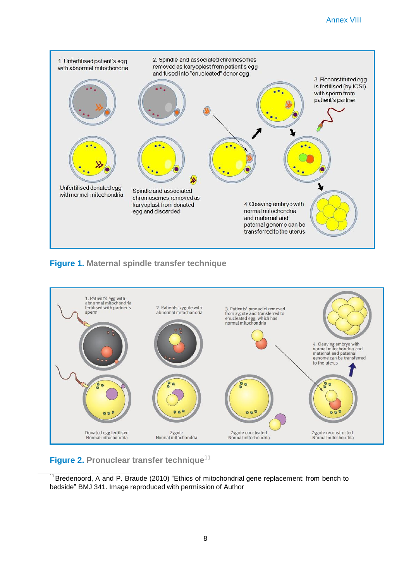

### **Figure 1. Maternal spindle transfer technique**



**Figure 2. Pronuclear transfer technique** 11

<sup>&</sup>lt;sup>11</sup> Bredenoord, A and P. Braude (2010) "Ethics of mitochondrial gene replacement: from bench to bedside" BMJ 341. Image reproduced with permission of Author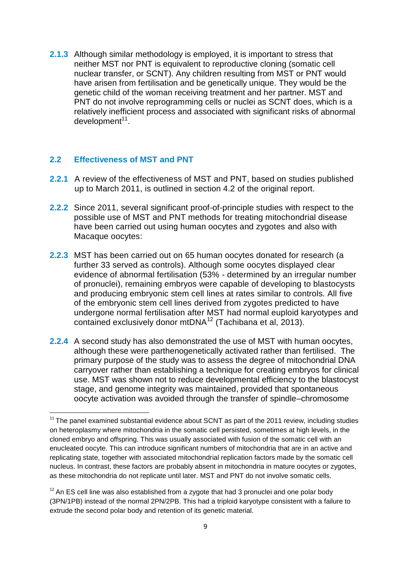**2.1.3** Although similar methodology is employed, it is important to stress that neither MST nor PNT is equivalent to reproductive cloning (somatic cell nuclear transfer, or SCNT). Any children resulting from MST or PNT would have arisen from fertilisation and be genetically unique. They would be the genetic child of the woman receiving treatment and her partner. MST and PNT do not involve reprogramming cells or nuclei as SCNT does, which is a relatively inefficient process and associated with significant risks of abnormal development<sup>11</sup>.

#### **2.2 Effectiveness of MST and PNT**

1

- **2.2.1** A review of the effectiveness of MST and PNT, based on studies published up to March 2011, is outlined in section 4.2 of the original report.
- **2.2.2** Since 2011, several significant proof-of-principle studies with respect to the possible use of MST and PNT methods for treating mitochondrial disease have been carried out using human oocytes and zygotes and also with Macaque oocytes:
- **2.2.3** MST has been carried out on 65 human oocytes donated for research (a further 33 served as controls). Although some oocytes displayed clear evidence of abnormal fertilisation (53% - determined by an irregular number of pronuclei), remaining embryos were capable of developing to blastocysts and producing embryonic stem cell lines at rates similar to controls. All five of the embryonic stem cell lines derived from zygotes predicted to have undergone normal fertilisation after MST had normal euploid karyotypes and contained exclusively donor mtDNA<sup>12</sup> (Tachibana et al, 2013).
- **2.2.4** A second study has also demonstrated the use of MST with human oocytes, although these were parthenogenetically activated rather than fertilised. The primary purpose of the study was to assess the degree of mitochondrial DNA carryover rather than establishing a technique for creating embryos for clinical use. MST was shown not to reduce developmental efficiency to the blastocyst stage, and genome integrity was maintained, provided that spontaneous oocyte activation was avoided through the transfer of spindle–chromosome

 $11$  The panel examined substantial evidence about SCNT as part of the 2011 review, including studies on heteroplasmy where mitochondria in the somatic cell persisted, sometimes at high levels, in the cloned embryo and offspring. This was usually associated with fusion of the somatic cell with an enucleated oocyte. This can introduce significant numbers of mitochondria that are in an active and replicating state, together with associated mitochondrial replication factors made by the somatic cell nucleus. In contrast, these factors are probably absent in mitochondria in mature oocytes or zygotes, as these mitochondria do not replicate until later. MST and PNT do not involve somatic cells.

 $12$  An ES cell line was also established from a zygote that had 3 pronuclei and one polar body (3PN/1PB) instead of the normal 2PN/2PB. This had a triploid karyotype consistent with a failure to extrude the second polar body and retention of its genetic material.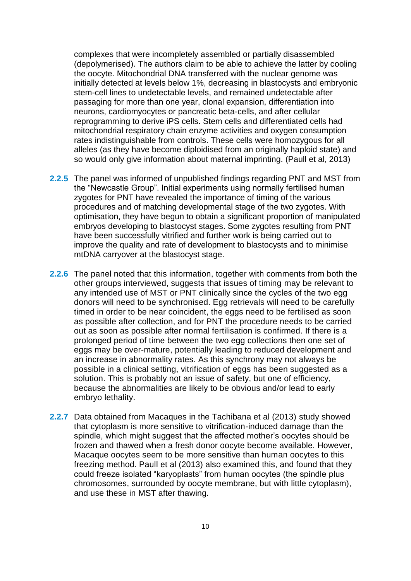complexes that were incompletely assembled or partially disassembled (depolymerised). The authors claim to be able to achieve the latter by cooling the oocyte. Mitochondrial DNA transferred with the nuclear genome was initially detected at levels below 1%, decreasing in blastocysts and embryonic stem-cell lines to undetectable levels, and remained undetectable after passaging for more than one year, clonal expansion, differentiation into neurons, cardiomyocytes or pancreatic beta-cells, and after cellular reprogramming to derive iPS cells. Stem cells and differentiated cells had mitochondrial respiratory chain enzyme activities and oxygen consumption rates indistinguishable from controls. These cells were homozygous for all alleles (as they have become diploidised from an originally haploid state) and so would only give information about maternal imprinting. (Paull et al, 2013)

- **2.2.5** The panel was informed of unpublished findings regarding PNT and MST from the "Newcastle Group". Initial experiments using normally fertilised human zygotes for PNT have revealed the importance of timing of the various procedures and of matching developmental stage of the two zygotes. With optimisation, they have begun to obtain a significant proportion of manipulated embryos developing to blastocyst stages. Some zygotes resulting from PNT have been successfully vitrified and further work is being carried out to improve the quality and rate of development to blastocysts and to minimise mtDNA carryover at the blastocyst stage.
- **2.2.6** The panel noted that this information, together with comments from both the other groups interviewed, suggests that issues of timing may be relevant to any intended use of MST or PNT clinically since the cycles of the two egg donors will need to be synchronised. Egg retrievals will need to be carefully timed in order to be near coincident, the eggs need to be fertilised as soon as possible after collection, and for PNT the procedure needs to be carried out as soon as possible after normal fertilisation is confirmed. If there is a prolonged period of time between the two egg collections then one set of eggs may be over-mature, potentially leading to reduced development and an increase in abnormality rates. As this synchrony may not always be possible in a clinical setting, vitrification of eggs has been suggested as a solution. This is probably not an issue of safety, but one of efficiency, because the abnormalities are likely to be obvious and/or lead to early embryo lethality.
- **2.2.7** Data obtained from Macaques in the Tachibana et al (2013) study showed that cytoplasm is more sensitive to vitrification-induced damage than the spindle, which might suggest that the affected mother's oocytes should be frozen and thawed when a fresh donor oocyte become available. However, Macaque oocytes seem to be more sensitive than human oocytes to this freezing method. Paull et al (2013) also examined this, and found that they could freeze isolated "karyoplasts" from human oocytes (the spindle plus chromosomes, surrounded by oocyte membrane, but with little cytoplasm), and use these in MST after thawing.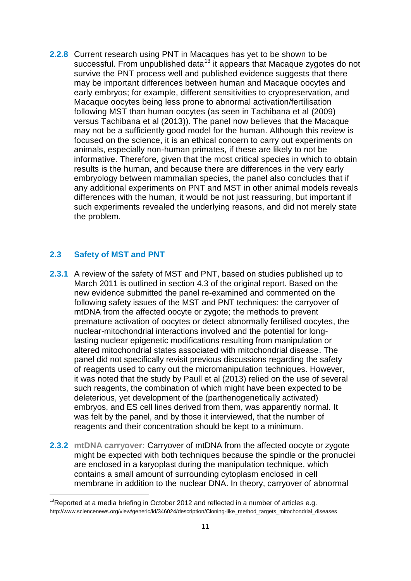**2.2.8** Current research using PNT in Macaques has yet to be shown to be successful. From unpublished data<sup>13</sup> it appears that Macaque zygotes do not survive the PNT process well and published evidence suggests that there may be important differences between human and Macaque oocytes and early embryos; for example, different sensitivities to cryopreservation, and Macaque oocytes being less prone to abnormal activation/fertilisation following MST than human oocytes (as seen in Tachibana et al (2009) versus Tachibana et al (2013)). The panel now believes that the Macaque may not be a sufficiently good model for the human. Although this review is focused on the science, it is an ethical concern to carry out experiments on animals, especially non-human primates, if these are likely to not be informative. Therefore, given that the most critical species in which to obtain results is the human, and because there are differences in the very early embryology between mammalian species, the panel also concludes that if any additional experiments on PNT and MST in other animal models reveals differences with the human, it would be not just reassuring, but important if such experiments revealed the underlying reasons, and did not merely state the problem.

#### **2.3 Safety of MST and PNT**

- **2.3.1** A review of the safety of MST and PNT, based on studies published up to March 2011 is outlined in section 4.3 of the original report. Based on the new evidence submitted the panel re-examined and commented on the following safety issues of the MST and PNT techniques: the carryover of mtDNA from the affected oocyte or zygote; the methods to prevent premature activation of oocytes or detect abnormally fertilised oocytes, the nuclear-mitochondrial interactions involved and the potential for longlasting nuclear epigenetic modifications resulting from manipulation or altered mitochondrial states associated with mitochondrial disease. The panel did not specifically revisit previous discussions regarding the safety of reagents used to carry out the micromanipulation techniques. However, it was noted that the study by Paull et al (2013) relied on the use of several such reagents, the combination of which might have been expected to be deleterious, yet development of the (parthenogenetically activated) embryos, and ES cell lines derived from them, was apparently normal. It was felt by the panel, and by those it interviewed, that the number of reagents and their concentration should be kept to a minimum.
- **2.3.2 mtDNA carryover:** Carryover of mtDNA from the affected oocyte or zygote might be expected with both techniques because the spindle or the pronuclei are enclosed in a karyoplast during the manipulation technique, which contains a small amount of surrounding cytoplasm enclosed in cell membrane in addition to the nuclear DNA. In theory, carryover of abnormal

 $13$ Reported at a media briefing in October 2012 and reflected in a number of articles e.g. [http://www.sciencenews.org/view/generic/id/346024/description/Cloning-like\\_method\\_targets\\_mitochondrial\\_diseases](http://www.sciencenews.org/view/generic/id/346024/description/Cloning-like_method_targets_mitochondrial_diseases)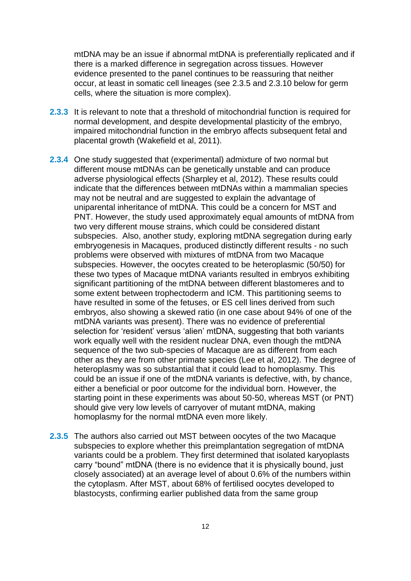mtDNA may be an issue if abnormal mtDNA is preferentially replicated and if there is a marked difference in segregation across tissues. However evidence presented to the panel continues to be reassuring that neither occur, at least in somatic cell lineages (see 2.3.5 and 2.3.10 below for germ cells, where the situation is more complex).

- **2.3.3** It is relevant to note that a threshold of mitochondrial function is required for normal development, and despite developmental plasticity of the embryo, impaired mitochondrial function in the embryo affects subsequent fetal and placental growth (Wakefield et al, 2011).
- **2.3.4** One study suggested that (experimental) admixture of two normal but different mouse mtDNAs can be genetically unstable and can produce adverse physiological effects (Sharpley et al, 2012). These results could indicate that the differences between mtDNAs within a mammalian species may not be neutral and are suggested to explain the advantage of uniparental inheritance of mtDNA. This could be a concern for MST and PNT. However, the study used approximately equal amounts of mtDNA from two very different mouse strains, which could be considered distant subspecies. Also, another study, exploring mtDNA segregation during early embryogenesis in Macaques, produced distinctly different results - no such problems were observed with mixtures of mtDNA from two Macaque subspecies. However, the oocytes created to be heteroplasmic (50/50) for these two types of Macaque mtDNA variants resulted in embryos exhibiting significant partitioning of the mtDNA between different blastomeres and to some extent between trophectoderm and ICM. This partitioning seems to have resulted in some of the fetuses, or ES cell lines derived from such embryos, also showing a skewed ratio (in one case about 94% of one of the mtDNA variants was present). There was no evidence of preferential selection for 'resident' versus 'alien' mtDNA, suggesting that both variants work equally well with the resident nuclear DNA, even though the mtDNA sequence of the two sub-species of Macaque are as different from each other as they are from other primate species (Lee et al, 2012). The degree of heteroplasmy was so substantial that it could lead to homoplasmy. This could be an issue if one of the mtDNA variants is defective, with, by chance, either a beneficial or poor outcome for the individual born. However, the starting point in these experiments was about 50-50, whereas MST (or PNT) should give very low levels of carryover of mutant mtDNA, making homoplasmy for the normal mtDNA even more likely.
- **2.3.5** The authors also carried out MST between oocytes of the two Macaque subspecies to explore whether this preimplantation segregation of mtDNA variants could be a problem. They first determined that isolated karyoplasts carry "bound" mtDNA (there is no evidence that it is physically bound, just closely associated) at an average level of about 0.6% of the numbers within the cytoplasm. After MST, about 68% of fertilised oocytes developed to blastocysts, confirming earlier published data from the same group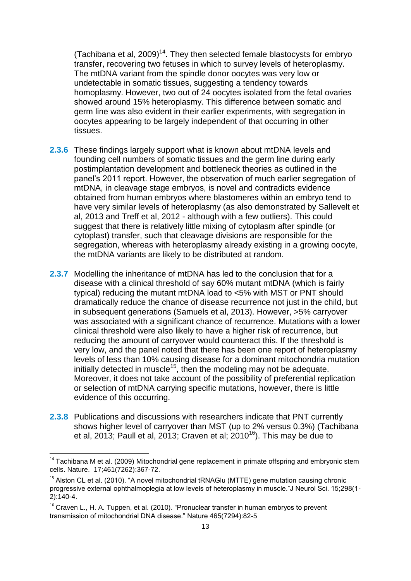(Tachibana et al, 2009)<sup>14</sup>. They then selected female blastocysts for embryo transfer, recovering two fetuses in which to survey levels of heteroplasmy. The mtDNA variant from the spindle donor oocytes was very low or undetectable in somatic tissues, suggesting a tendency towards homoplasmy. However, two out of 24 oocytes isolated from the fetal ovaries showed around 15% heteroplasmy. This difference between somatic and germ line was also evident in their earlier experiments, with segregation in oocytes appearing to be largely independent of that occurring in other tissues.

- **2.3.6** These findings largely support what is known about mtDNA levels and founding cell numbers of somatic tissues and the germ line during early postimplantation development and bottleneck theories as outlined in the panel's 2011 report. However, the observation of much earlier segregation of mtDNA, in cleavage stage embryos, is novel and contradicts evidence obtained from human embryos where blastomeres within an embryo tend to have very similar levels of heteroplasmy (as also demonstrated by Sallevelt et al, 2013 and Treff et al, 2012 - although with a few outliers). This could suggest that there is relatively little mixing of cytoplasm after spindle (or cytoplast) transfer, such that cleavage divisions are responsible for the segregation, whereas with heteroplasmy already existing in a growing oocyte, the mtDNA variants are likely to be distributed at random.
- **2.3.7** Modelling the inheritance of mtDNA has led to the conclusion that for a disease with a clinical threshold of say 60% mutant mtDNA (which is fairly typical) reducing the mutant mtDNA load to <5% with MST or PNT should dramatically reduce the chance of disease recurrence not just in the child, but in subsequent generations (Samuels et al, 2013). However, >5% carryover was associated with a significant chance of recurrence. Mutations with a lower clinical threshold were also likely to have a higher risk of recurrence, but reducing the amount of carryover would counteract this. If the threshold is very low, and the panel noted that there has been one report of heteroplasmy levels of less than 10% causing disease for a dominant mitochondria mutation initially detected in muscle<sup>15</sup>, then the modeling may not be adequate. Moreover, it does not take account of the possibility of preferential replication or selection of mtDNA carrying specific mutations, however, there is little evidence of this occurring.
- **2.3.8** Publications and discussions with researchers indicate that PNT currently shows higher level of carryover than MST (up to 2% versus 0.3%) (Tachibana et al, 2013; Paull et al, 2013; Craven et al;  $2010^{16}$ ). This may be due to

 $14$  Tachibana M et al. (2009) Mitochondrial gene replacement in primate offspring and embryonic stem cells. Nature. 17;461(7262):367-72.

 $15$  Alston CL et al. (2010). "A novel mitochondrial tRNAGIu (MTTF) gene mutation causing chronic progressive external ophthalmoplegia at low levels of heteroplasmy in muscle."J Neurol Sci. 15:298(1-2):140-4.

<sup>&</sup>lt;sup>16</sup> Craven L., H. A. Tuppen, et al. (2010). "Pronuclear transfer in human embryos to prevent transmission of mitochondrial DNA disease." Nature 465(7294):82-5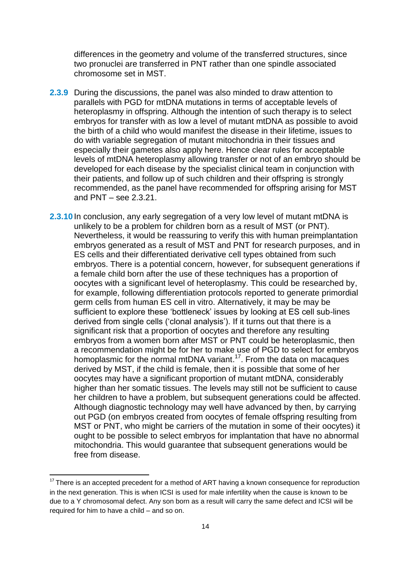differences in the geometry and volume of the transferred structures, since two pronuclei are transferred in PNT rather than one spindle associated chromosome set in MST.

- **2.3.9** During the discussions, the panel was also minded to draw attention to parallels with PGD for mtDNA mutations in terms of acceptable levels of heteroplasmy in offspring. Although the intention of such therapy is to select embryos for transfer with as low a level of mutant mtDNA as possible to avoid the birth of a child who would manifest the disease in their lifetime, issues to do with variable segregation of mutant mitochondria in their tissues and especially their gametes also apply here. Hence clear rules for acceptable levels of mtDNA heteroplasmy allowing transfer or not of an embryo should be developed for each disease by the specialist clinical team in conjunction with their patients, and follow up of such children and their offspring is strongly recommended, as the panel have recommended for offspring arising for MST and PNT – see 2.3.21.
- **2.3.10** In conclusion, any early segregation of a very low level of mutant mtDNA is unlikely to be a problem for children born as a result of MST (or PNT). Nevertheless, it would be reassuring to verify this with human preimplantation embryos generated as a result of MST and PNT for research purposes, and in ES cells and their differentiated derivative cell types obtained from such embryos. There is a potential concern, however, for subsequent generations if a female child born after the use of these techniques has a proportion of oocytes with a significant level of heteroplasmy. This could be researched by, for example, following differentiation protocols reported to generate primordial germ cells from human ES cell in vitro. Alternatively, it may be may be sufficient to explore these 'bottleneck' issues by looking at ES cell sub-lines derived from single cells ('clonal analysis'). If it turns out that there is a significant risk that a proportion of oocytes and therefore any resulting embryos from a women born after MST or PNT could be heteroplasmic, then a recommendation might be for her to make use of PGD to select for embryos homoplasmic for the normal mtDNA variant.<sup>17</sup>. From the data on macaques derived by MST, if the child is female, then it is possible that some of her oocytes may have a significant proportion of mutant mtDNA, considerably higher than her somatic tissues. The levels may still not be sufficient to cause her children to have a problem, but subsequent generations could be affected. Although diagnostic technology may well have advanced by then, by carrying out PGD (on embryos created from oocytes of female offspring resulting from MST or PNT, who might be carriers of the mutation in some of their oocytes) it ought to be possible to select embryos for implantation that have no abnormal mitochondria. This would guarantee that subsequent generations would be free from disease.

 $\overline{a}$ 

 $17$  There is an accepted precedent for a method of ART having a known consequence for reproduction in the next generation. This is when ICSI is used for male infertility when the cause is known to be due to a Y chromosomal defect. Any son born as a result will carry the same defect and ICSI will be required for him to have a child – and so on.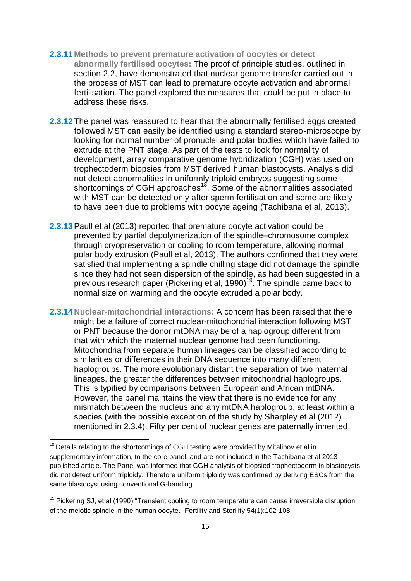- **2.3.11 Methods to prevent premature activation of oocytes or detect abnormally fertilised oocytes:** The proof of principle studies, outlined in section 2.2, have demonstrated that nuclear genome transfer carried out in the process of MST can lead to premature oocyte activation and abnormal fertilisation. The panel explored the measures that could be put in place to address these risks.
- **2.3.12**The panel was reassured to hear that the abnormally fertilised eggs created followed MST can easily be identified using a standard stereo-microscope by looking for normal number of pronuclei and polar bodies which have failed to extrude at the PNT stage. As part of the tests to look for normality of development, array comparative genome hybridization (CGH) was used on trophectoderm biopsies from MST derived human blastocysts. Analysis did not detect abnormalities in uniformly triploid embryos suggesting some shortcomings of CGH approaches<sup>18</sup>. Some of the abnormalities associated with MST can be detected only after sperm fertilisation and some are likely to have been due to problems with oocyte ageing (Tachibana et al, 2013).
- **2.3.13**Paull et al (2013) reported that premature oocyte activation could be prevented by partial depolymerization of the spindle–chromosome complex through cryopreservation or cooling to room temperature, allowing normal polar body extrusion (Paull et al, 2013). The authors confirmed that they were satisfied that implementing a spindle chilling stage did not damage the spindle since they had not seen dispersion of the spindle, as had been suggested in a previous research paper (Pickering et al, 1990)<sup>19</sup>. The spindle came back to normal size on warming and the oocyte extruded a polar body.
- **2.3.14 Nuclear-mitochondrial interactions:** A concern has been raised that there might be a failure of correct nuclear-mitochondrial interaction following MST or PNT because the donor mtDNA may be of a haplogroup different from that with which the maternal nuclear genome had been functioning. Mitochondria from separate human lineages can be classified according to similarities or differences in their DNA sequence into many different haplogroups. The more evolutionary distant the separation of two maternal lineages, the greater the differences between mitochondrial haplogroups. This is typified by comparisons between European and African mtDNA. However, the panel maintains the view that there is no evidence for any mismatch between the nucleus and any mtDNA haplogroup, at least within a species (with the possible exception of the study by Sharpley et al (2012) mentioned in 2.3.4). Fifty per cent of nuclear genes are paternally inherited

 $18$  Details relating to the shortcomings of CGH testing were provided by Mitalipov et al in supplementary information, to the core panel, and are not included in the Tachibana et al 2013 published article. The Panel was informed that CGH analysis of biopsied trophectoderm in blastocysts did not detect uniform triploidy. Therefore uniform triploidy was confirmed by deriving ESCs from the same blastocyst using conventional G-banding.

 $19$  [Pickering SJ,](http://europepmc.org/search/?page=1&query=AUTH:%22Pickering+SJ%22) et al (1990) "Transient cooling to room temperature can cause irreversible disruption of the meiotic spindle in the human oocyte." [Fertility and Sterility](http://europepmc.org/search/?page=1&query=ISSN:%220015-0282%22) 54(1):102-108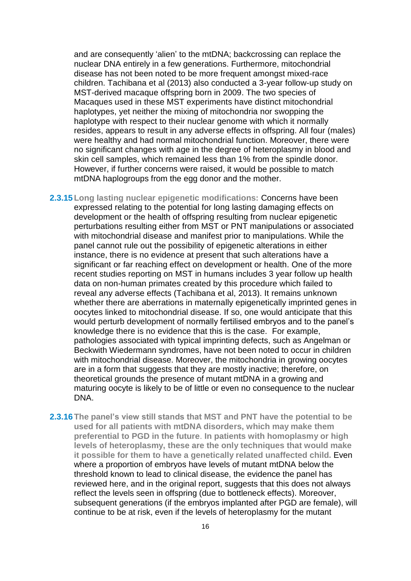and are consequently 'alien' to the mtDNA; backcrossing can replace the nuclear DNA entirely in a few generations. Furthermore, mitochondrial disease has not been noted to be more frequent amongst mixed-race children. Tachibana et al (2013) also conducted a 3-year follow-up study on MST-derived macaque offspring born in 2009. The two species of Macaques used in these MST experiments have distinct mitochondrial haplotypes, yet neither the mixing of mitochondria nor swopping the haplotype with respect to their nuclear genome with which it normally resides, appears to result in any adverse effects in offspring. All four (males) were healthy and had normal mitochondrial function. Moreover, there were no significant changes with age in the degree of heteroplasmy in blood and skin cell samples, which remained less than 1% from the spindle donor. However, if further concerns were raised, it would be possible to match mtDNA haplogroups from the egg donor and the mother.

- **2.3.15 Long lasting nuclear epigenetic modifications:** Concerns have been expressed relating to the potential for long lasting damaging effects on development or the health of offspring resulting from nuclear epigenetic perturbations resulting either from MST or PNT manipulations or associated with mitochondrial disease and manifest prior to manipulations. While the panel cannot rule out the possibility of epigenetic alterations in either instance, there is no evidence at present that such alterations have a significant or far reaching effect on development or health. One of the more recent studies reporting on MST in humans includes 3 year follow up health data on non-human primates created by this procedure which failed to reveal any adverse effects (Tachibana et al, 2013). It remains unknown whether there are aberrations in maternally epigenetically imprinted genes in oocytes linked to mitochondrial disease. If so, one would anticipate that this would perturb development of normally fertilised embryos and to the panel's knowledge there is no evidence that this is the case. For example, pathologies associated with typical imprinting defects, such as Angelman or Beckwith Wiedermann syndromes, have not been noted to occur in children with mitochondrial disease. Moreover, the mitochondria in growing oocytes are in a form that suggests that they are mostly inactive; therefore, on theoretical grounds the presence of mutant mtDNA in a growing and maturing oocyte is likely to be of little or even no consequence to the nuclear **DNA**
- **2.3.16The panel's view still stands that MST and PNT have the potential to be used for all patients with mtDNA disorders, which may make them preferential to PGD in the future**. **In patients with homoplasmy or high levels of heteroplasmy, these are the only techniques that would make it possible for them to have a genetically related unaffected child.** Even where a proportion of embryos have levels of mutant mtDNA below the threshold known to lead to clinical disease, the evidence the panel has reviewed here, and in the original report, suggests that this does not always reflect the levels seen in offspring (due to bottleneck effects). Moreover, subsequent generations (if the embryos implanted after PGD are female), will continue to be at risk, even if the levels of heteroplasmy for the mutant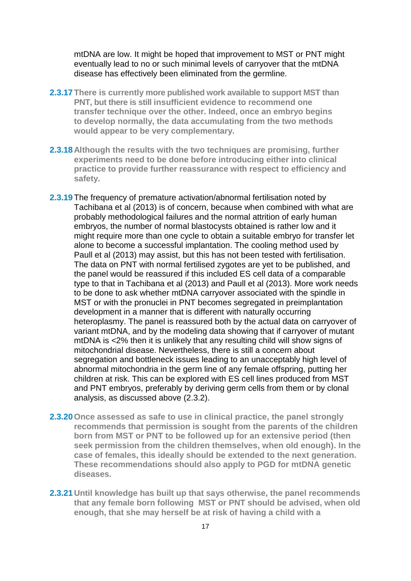mtDNA are low. It might be hoped that improvement to MST or PNT might eventually lead to no or such minimal levels of carryover that the mtDNA disease has effectively been eliminated from the germline.

- **2.3.17 There is currently more published work available to support MST than PNT, but there is still insufficient evidence to recommend one transfer technique over the other. Indeed, once an embryo begins to develop normally, the data accumulating from the two methods would appear to be very complementary.**
- **2.3.18 Although the results with the two techniques are promising, further experiments need to be done before introducing either into clinical practice to provide further reassurance with respect to efficiency and safety.**
- **2.3.19** The frequency of premature activation/abnormal fertilisation noted by Tachibana et al (2013) is of concern, because when combined with what are probably methodological failures and the normal attrition of early human embryos, the number of normal blastocysts obtained is rather low and it might require more than one cycle to obtain a suitable embryo for transfer let alone to become a successful implantation. The cooling method used by Paull et al (2013) may assist, but this has not been tested with fertilisation. The data on PNT with normal fertilised zygotes are yet to be published, and the panel would be reassured if this included ES cell data of a comparable type to that in Tachibana et al (2013) and Paull et al (2013). More work needs to be done to ask whether mtDNA carryover associated with the spindle in MST or with the pronuclei in PNT becomes segregated in preimplantation development in a manner that is different with naturally occurring heteroplasmy. The panel is reassured both by the actual data on carryover of variant mtDNA, and by the modeling data showing that if carryover of mutant mtDNA is <2% then it is unlikely that any resulting child will show signs of mitochondrial disease. Nevertheless, there is still a concern about segregation and bottleneck issues leading to an unacceptably high level of abnormal mitochondria in the germ line of any female offspring, putting her children at risk. This can be explored with ES cell lines produced from MST and PNT embryos, preferably by deriving germ cells from them or by clonal analysis, as discussed above (2.3.2).
- **2.3.20Once assessed as safe to use in clinical practice, the panel strongly recommends that permission is sought from the parents of the children born from MST or PNT to be followed up for an extensive period (then seek permission from the children themselves, when old enough). In the case of females, this ideally should be extended to the next generation. These recommendations should also apply to PGD for mtDNA genetic diseases.**
- **2.3.21 Until knowledge has built up that says otherwise, the panel recommends that any female born following MST or PNT should be advised, when old enough, that she may herself be at risk of having a child with a**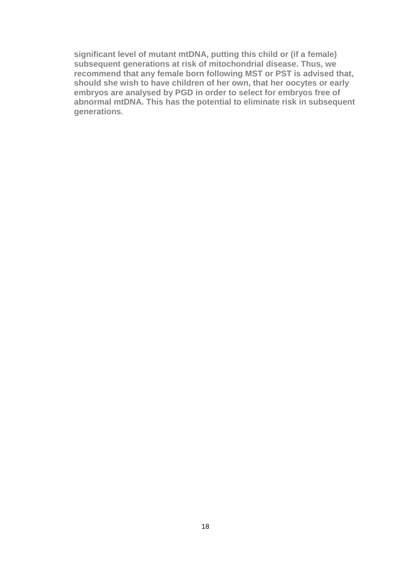**significant level of mutant mtDNA, putting this child or (if a female) subsequent generations at risk of mitochondrial disease. Thus, we recommend that any female born following MST or PST is advised that, should she wish to have children of her own, that her oocytes or early embryos are analysed by PGD in order to select for embryos free of abnormal mtDNA. This has the potential to eliminate risk in subsequent generations.**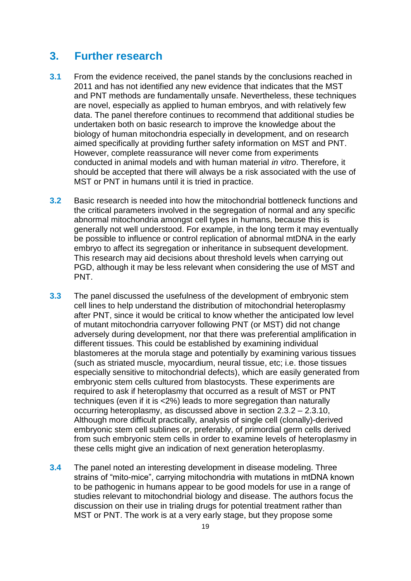# **3. Further research**

- **3.1** From the evidence received, the panel stands by the conclusions reached in 2011 and has not identified any new evidence that indicates that the MST and PNT methods are fundamentally unsafe. Nevertheless, these techniques are novel, especially as applied to human embryos, and with relatively few data. The panel therefore continues to recommend that additional studies be undertaken both on basic research to improve the knowledge about the biology of human mitochondria especially in development, and on research aimed specifically at providing further safety information on MST and PNT. However, complete reassurance will never come from experiments conducted in animal models and with human material *in vitro*. Therefore, it should be accepted that there will always be a risk associated with the use of MST or PNT in humans until it is tried in practice.
- **3.2** Basic research is needed into how the mitochondrial bottleneck functions and the critical parameters involved in the segregation of normal and any specific abnormal mitochondria amongst cell types in humans, because this is generally not well understood. For example, in the long term it may eventually be possible to influence or control replication of abnormal mtDNA in the early embryo to affect its segregation or inheritance in subsequent development. This research may aid decisions about threshold levels when carrying out PGD, although it may be less relevant when considering the use of MST and PNT.
- **3.3** The panel discussed the usefulness of the development of embryonic stem cell lines to help understand the distribution of mitochondrial heteroplasmy after PNT, since it would be critical to know whether the anticipated low level of mutant mitochondria carryover following PNT (or MST) did not change adversely during development, nor that there was preferential amplification in different tissues. This could be established by examining individual blastomeres at the morula stage and potentially by examining various tissues (such as striated muscle, myocardium, neural tissue, etc; i.e. those tissues especially sensitive to mitochondrial defects), which are easily generated from embryonic stem cells cultured from blastocysts. These experiments are required to ask if heteroplasmy that occurred as a result of MST or PNT techniques (even if it is <2%) leads to more segregation than naturally occurring heteroplasmy, as discussed above in section 2.3.2 – 2.3.10, Although more difficult practically, analysis of single cell (clonally)-derived embryonic stem cell sublines or, preferably, of primordial germ cells derived from such embryonic stem cells in order to examine levels of heteroplasmy in these cells might give an indication of next generation heteroplasmy.
- **3.4** The panel noted an interesting development in disease modeling. Three strains of "mito-mice", carrying mitochondria with mutations in mtDNA known to be pathogenic in humans appear to be good models for use in a range of studies relevant to mitochondrial biology and disease. The authors focus the discussion on their use in trialing drugs for potential treatment rather than MST or PNT. The work is at a very early stage, but they propose some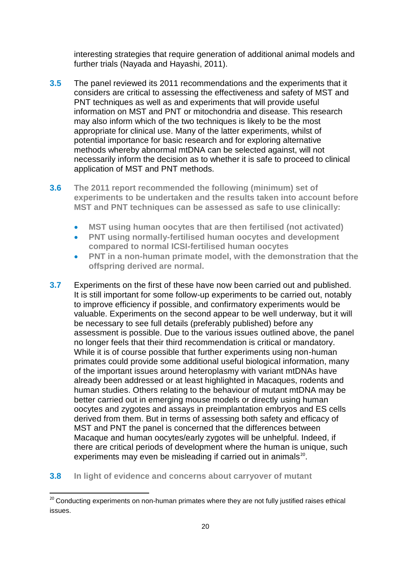interesting strategies that require generation of additional animal models and further trials (Nayada and Hayashi, 2011).

- **3.5** The panel reviewed its 2011 recommendations and the experiments that it considers are critical to assessing the effectiveness and safety of MST and PNT techniques as well as and experiments that will provide useful information on MST and PNT or mitochondria and disease. This research may also inform which of the two techniques is likely to be the most appropriate for clinical use. Many of the latter experiments, whilst of potential importance for basic research and for exploring alternative methods whereby abnormal mtDNA can be selected against, will not necessarily inform the decision as to whether it is safe to proceed to clinical application of MST and PNT methods.
- **3.6 The 2011 report recommended the following (minimum) set of experiments to be undertaken and the results taken into account before MST and PNT techniques can be assessed as safe to use clinically:**
	- **MST using human oocytes that are then fertilised (not activated)**
	- **PNT using normally-fertilised human oocytes and development compared to normal ICSI-fertilised human oocytes**
	- **PNT in a non-human primate model, with the demonstration that the offspring derived are normal.**
- **3.7** Experiments on the first of these have now been carried out and published. It is still important for some follow-up experiments to be carried out, notably to improve efficiency if possible, and confirmatory experiments would be valuable. Experiments on the second appear to be well underway, but it will be necessary to see full details (preferably published) before any assessment is possible. Due to the various issues outlined above, the panel no longer feels that their third recommendation is critical or mandatory. While it is of course possible that further experiments using non-human primates could provide some additional useful biological information, many of the important issues around heteroplasmy with variant mtDNAs have already been addressed or at least highlighted in Macaques, rodents and human studies. Others relating to the behaviour of mutant mtDNA may be better carried out in emerging mouse models or directly using human oocytes and zygotes and assays in preimplantation embryos and ES cells derived from them. But in terms of assessing both safety and efficacy of MST and PNT the panel is concerned that the differences between Macaque and human oocytes/early zygotes will be unhelpful. Indeed, if there are critical periods of development where the human is unique, such experiments may even be misleading if carried out in animals<sup>20</sup>.
- **3.8 In light of evidence and concerns about carryover of mutant**

<sup>&</sup>lt;sup>20</sup> Conducting experiments on non-human primates where they are not fully justified raises ethical issues.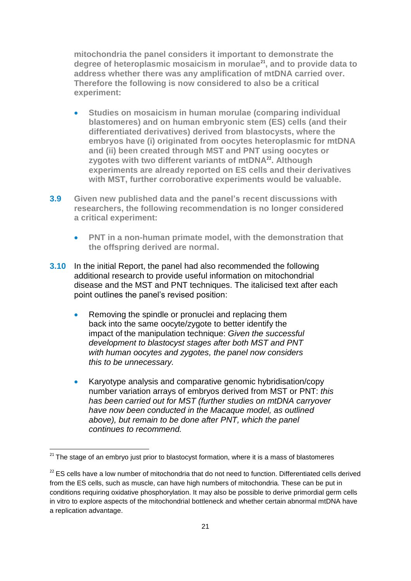**mitochondria the panel considers it important to demonstrate the degree of heteroplasmic mosaicism in morulae**<sup>21</sup>**, and to provide data to address whether there was any amplification of mtDNA carried over. Therefore the following is now considered to also be a critical experiment:** 

- **Studies on mosaicism in human morulae (comparing individual blastomeres) and on human embryonic stem (ES) cells (and their differentiated derivatives) derived from blastocysts, where the embryos have (i) originated from oocytes heteroplasmic for mtDNA and (ii) been created through MST and PNT using oocytes or zygotes with two different variants of mtDNA**<sup>22</sup> **. Although experiments are already reported on ES cells and their derivatives with MST, further corroborative experiments would be valuable.**
- **3.9 Given new published data and the panel's recent discussions with researchers, the following recommendation is no longer considered a critical experiment:**
	- **PNT in a non-human primate model, with the demonstration that the offspring derived are normal.**
- **3.10** In the initial Report, the panel had also recommended the following additional research to provide useful information on mitochondrial disease and the MST and PNT techniques. The italicised text after each point outlines the panel's revised position:
	- Removing the spindle or pronuclei and replacing them back into the same oocyte/zygote to better identify the impact of the manipulation technique: *Given the successful development to blastocyst stages after both MST and PNT with human oocytes and zygotes, the panel now considers this to be unnecessary.*
	- Karyotype analysis and comparative genomic hybridisation/copy number variation arrays of embryos derived from MST or PNT: *this has been carried out for MST (further studies on mtDNA carryover have now been conducted in the Macaque model, as outlined above), but remain to be done after PNT, which the panel continues to recommend.*

1

 $21$  The stage of an embryo just prior to blastocyst formation, where it is a mass of blastomeres

 $22$  ES cells have a low number of mitochondria that do not need to function. Differentiated cells derived from the ES cells, such as muscle, can have high numbers of mitochondria. These can be put in conditions requiring oxidative phosphorylation. It may also be possible to derive primordial germ cells in vitro to explore aspects of the mitochondrial bottleneck and whether certain abnormal mtDNA have a replication advantage.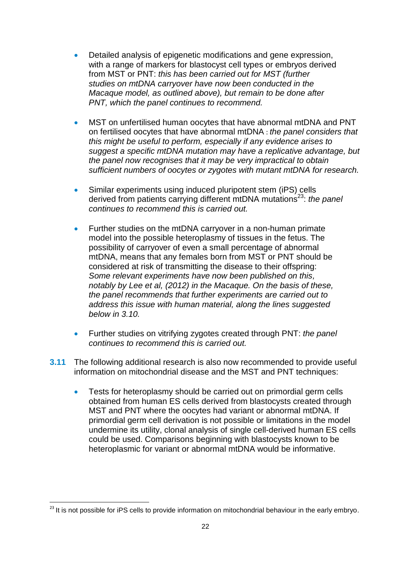- Detailed analysis of epigenetic modifications and gene expression, with a range of markers for blastocyst cell types or embryos derived from MST or PNT: *this has been carried out for MST (further studies on mtDNA carryover have now been conducted in the Macaque model, as outlined above), but remain to be done after PNT, which the panel continues to recommend.*
- MST on unfertilised human oocytes that have abnormal mtDNA and PNT on fertilised oocytes that have abnormal mtDNA : *the panel considers that this might be useful to perform, especially if any evidence arises to suggest a specific mtDNA mutation may have a replicative advantage, but the panel now recognises that it may be very impractical to obtain sufficient numbers of oocytes or zygotes with mutant mtDNA for research.*
- Similar experiments using induced pluripotent stem (iPS) cells derived from patients carrying different mtDNA mutations<sup>23</sup>: *the panel continues to recommend this is carried out.*
- Further studies on the mtDNA carryover in a non-human primate model into the possible heteroplasmy of tissues in the fetus. The possibility of carryover of even a small percentage of abnormal mtDNA, means that any females born from MST or PNT should be considered at risk of transmitting the disease to their offspring: *Some relevant experiments have now been published on this, notably by Lee et al, (2012) in the Macaque. On the basis of these, the panel recommends that further experiments are carried out to address this issue with human material, along the lines suggested below in 3.10.*
- Further studies on vitrifying zygotes created through PNT: *the panel continues to recommend this is carried out.*
- **3.11** The following additional research is also now recommended to provide useful information on mitochondrial disease and the MST and PNT techniques:
	- Tests for heteroplasmy should be carried out on primordial germ cells obtained from human ES cells derived from blastocysts created through MST and PNT where the oocytes had variant or abnormal mtDNA. If primordial germ cell derivation is not possible or limitations in the model undermine its utility, clonal analysis of single cell-derived human ES cells could be used. Comparisons beginning with blastocysts known to be heteroplasmic for variant or abnormal mtDNA would be informative.

 $\overline{a}$ 

 $^{23}$  It is not possible for iPS cells to provide information on mitochondrial behaviour in the early embryo.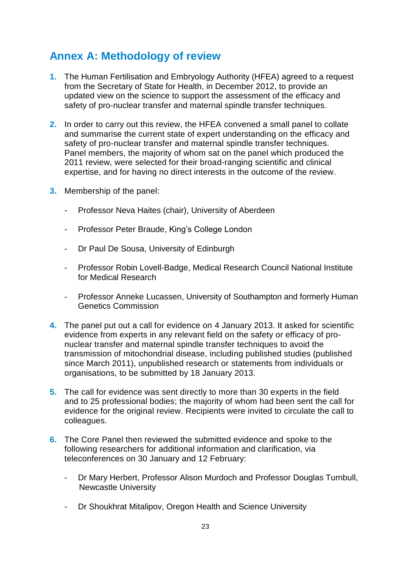# **Annex A: Methodology of review**

- **1.** The Human Fertilisation and Embryology Authority (HFEA) agreed to a request from the Secretary of State for Health, in December 2012, to provide an updated view on the science to support the assessment of the efficacy and safety of pro-nuclear transfer and maternal spindle transfer techniques.
- **2.** In order to carry out this review, the HFEA convened a small panel to collate and summarise the current state of expert understanding on the efficacy and safety of pro-nuclear transfer and maternal spindle transfer techniques. Panel members, the majority of whom sat on the panel which produced the 2011 review, were selected for their broad-ranging scientific and clinical expertise, and for having no direct interests in the outcome of the review.
- **3.** Membership of the panel:
	- Professor Neva Haites (chair), University of Aberdeen
	- Professor Peter Braude, King's College London
	- Dr Paul De Sousa, University of Edinburgh
	- Professor Robin Lovell-Badge, Medical Research Council National Institute for Medical Research
	- Professor Anneke Lucassen, University of Southampton and formerly Human Genetics Commission
- **4.** The panel put out a call for evidence on 4 January 2013. It asked for scientific evidence from experts in any relevant field on the safety or efficacy of pronuclear transfer and maternal spindle transfer techniques to avoid the transmission of mitochondrial disease, including published studies (published since March 2011), unpublished research or statements from individuals or organisations, to be submitted by 18 January 2013.
- **5.** The call for evidence was sent directly to more than 30 experts in the field and to 25 professional bodies; the majority of whom had been sent the call for evidence for the original review. Recipients were invited to circulate the call to colleagues.
- **6.** The Core Panel then reviewed the submitted evidence and spoke to the following researchers for additional information and clarification, via teleconferences on 30 January and 12 February:
	- Dr Mary Herbert, Professor Alison Murdoch and Professor Douglas Turnbull, Newcastle University
	- Dr Shoukhrat Mitalipov, Oregon Health and Science University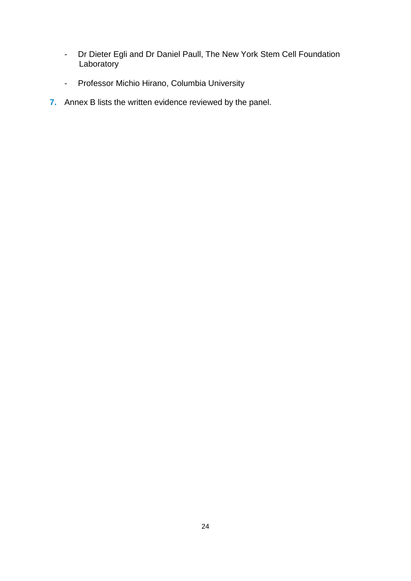- Dr Dieter Egli and Dr Daniel Paull, The New York Stem Cell Foundation **Laboratory**
- Professor Michio Hirano, Columbia University
- **7.** Annex B lists the written evidence reviewed by the panel.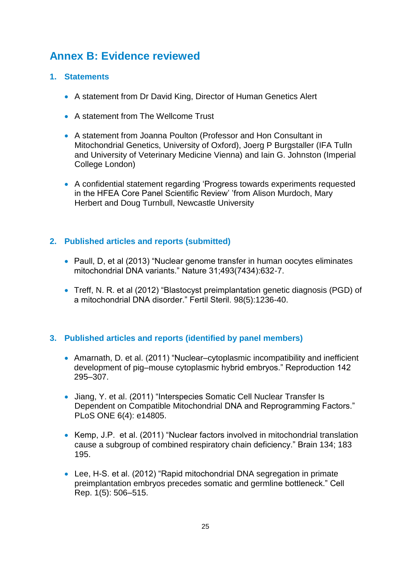# **Annex B: Evidence reviewed**

### **1. Statements**

- A statement from Dr David King, Director of Human Genetics Alert
- A statement from The Wellcome Trust
- A statement from Joanna Poulton (Professor and Hon Consultant in Mitochondrial Genetics, University of Oxford), Joerg P Burgstaller (IFA Tulln and University of Veterinary Medicine Vienna) and Iain G. Johnston (Imperial College London)
- A confidential statement regarding 'Progress towards experiments requested in the HFEA Core Panel Scientific Review' 'from Alison Murdoch, Mary Herbert and Doug Turnbull, Newcastle University

### **2. Published articles and reports (submitted)**

- Paull, D, et al (2013) "Nuclear genome transfer in human oocytes eliminates mitochondrial DNA variants." Nature 31;493(7434):632-7.
- Treff, N. R. et al (2012) "Blastocyst preimplantation genetic diagnosis (PGD) of a mitochondrial DNA disorder." Fertil Steril. 98(5):1236-40.

### **3. Published articles and reports (identified by panel members)**

- Amarnath, D. et al. (2011) "Nuclear–cytoplasmic incompatibility and inefficient development of pig–mouse cytoplasmic hybrid embryos." Reproduction 142 295–307.
- Jiang, Y. et al. (2011) "Interspecies Somatic Cell Nuclear Transfer Is Dependent on Compatible Mitochondrial DNA and Reprogramming Factors." PLoS ONE 6(4): e14805.
- Kemp, J.P. et al. (2011) "Nuclear factors involved in mitochondrial translation cause a subgroup of combined respiratory chain deficiency." Brain 134; 183 195.
- Lee, H-S. et al. (2012) "Rapid mitochondrial DNA segregation in primate preimplantation embryos precedes somatic and germline bottleneck." Cell Rep. 1(5): 506–515.